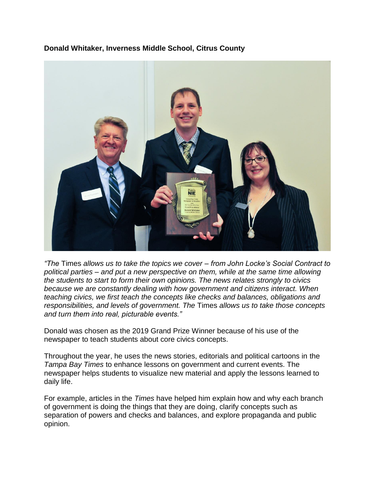**Donald Whitaker, Inverness Middle School, Citrus County**



*"The* Times *allows us to take the topics we cover – from John Locke's Social Contract to political parties – and put a new perspective on them, while at the same time allowing the students to start to form their own opinions. The news relates strongly to civics because we are constantly dealing with how government and citizens interact. When teaching civics, we first teach the concepts like checks and balances, obligations and responsibilities, and levels of government. The* Times *allows us to take those concepts and turn them into real, picturable events."*

Donald was chosen as the 2019 Grand Prize Winner because of his use of the newspaper to teach students about core civics concepts.

Throughout the year, he uses the news stories, editorials and political cartoons in the *Tampa Bay Times* to enhance lessons on government and current events. The newspaper helps students to visualize new material and apply the lessons learned to daily life.

For example, articles in the *Times* have helped him explain how and why each branch of government is doing the things that they are doing, clarify concepts such as separation of powers and checks and balances, and explore propaganda and public opinion.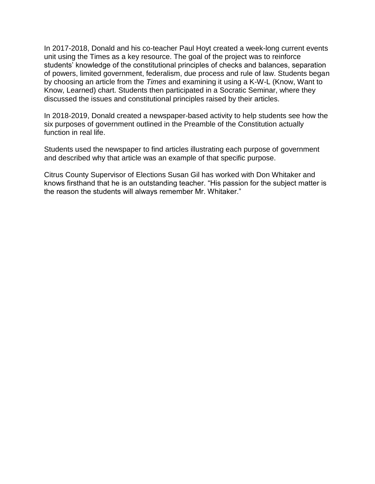In 2017-2018, Donald and his co-teacher Paul Hoyt created a week-long current events unit using the Times as a key resource. The goal of the project was to reinforce students' knowledge of the constitutional principles of checks and balances, separation of powers, limited government, federalism, due process and rule of law. Students began by choosing an article from the *Times* and examining it using a K-W-L (Know, Want to Know, Learned) chart. Students then participated in a Socratic Seminar, where they discussed the issues and constitutional principles raised by their articles.

In 2018-2019, Donald created a newspaper-based activity to help students see how the six purposes of government outlined in the Preamble of the Constitution actually function in real life.

Students used the newspaper to find articles illustrating each purpose of government and described why that article was an example of that specific purpose.

Citrus County Supervisor of Elections Susan Gil has worked with Don Whitaker and knows firsthand that he is an outstanding teacher. "His passion for the subject matter is the reason the students will always remember Mr. Whitaker."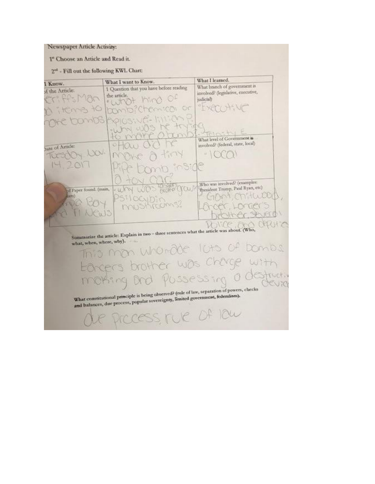Newspaper Article Activity:

I" Choose an Article and Read it.

2<sup>nd</sup> - Fill out the following KWL Chart:

What I learned. What I want to Know. I Know. What branch of government is 1 Question that you have before reading of the Article: involved? (legislative, executive, the article. hing of PP-1 judicial) 1、光 **SCON**  $OC$ What level of Government is involved? (federal, state, local) Date of Article: 3N  $\alpha$ **It X**  $\Rightarrow$ Who was involved? (examples: President Trump, Paul Ryan, etc) MAG CYCUT of Paper found. (main, **CONV** irtik) IET (D Nice CELON M Summarize the article: Explain in two - three sentences what the article was about. (Who, what, when, where, why). this mas whende lats of 20m0s brother was charge and possessing oc vet: moking What constitutional principle is being observed? (rule of law, separation of powers, checks and balances, due process, popular sovereignty, limited government, federalism). PICCESS FUE Of IOW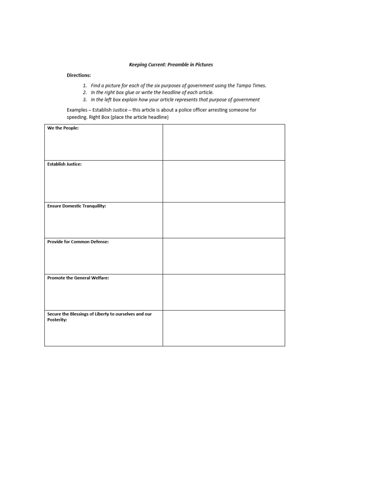## **Keeping Current: Preamble in Pictures**

## **Directions:**

- 1. Find a picture for each of the six purposes of government using the Tampa Times.
- 2. In the right box glue or write the headline of each article.
- 3. In the left box explain how your article represents that purpose of government

Examples - Establish Justice - this article is about a police officer arresting someone for speeding. Right Box (place the article headline)

| We the People:                                       |  |
|------------------------------------------------------|--|
|                                                      |  |
|                                                      |  |
|                                                      |  |
|                                                      |  |
|                                                      |  |
|                                                      |  |
|                                                      |  |
|                                                      |  |
|                                                      |  |
|                                                      |  |
| <b>Establish Justice:</b>                            |  |
|                                                      |  |
|                                                      |  |
|                                                      |  |
|                                                      |  |
|                                                      |  |
|                                                      |  |
|                                                      |  |
|                                                      |  |
|                                                      |  |
|                                                      |  |
|                                                      |  |
|                                                      |  |
| <b>Ensure Domestic Tranquility:</b>                  |  |
|                                                      |  |
|                                                      |  |
|                                                      |  |
|                                                      |  |
|                                                      |  |
|                                                      |  |
|                                                      |  |
|                                                      |  |
|                                                      |  |
| <b>Provide for Common Defense:</b>                   |  |
|                                                      |  |
|                                                      |  |
|                                                      |  |
|                                                      |  |
|                                                      |  |
|                                                      |  |
|                                                      |  |
|                                                      |  |
|                                                      |  |
|                                                      |  |
| Promote the General Welfare:                         |  |
|                                                      |  |
|                                                      |  |
|                                                      |  |
|                                                      |  |
|                                                      |  |
|                                                      |  |
|                                                      |  |
|                                                      |  |
|                                                      |  |
|                                                      |  |
| Secure the Blessings of Liberty to ourselves and our |  |
|                                                      |  |
| Posterity:                                           |  |
|                                                      |  |
|                                                      |  |
|                                                      |  |
|                                                      |  |
|                                                      |  |
|                                                      |  |
|                                                      |  |
|                                                      |  |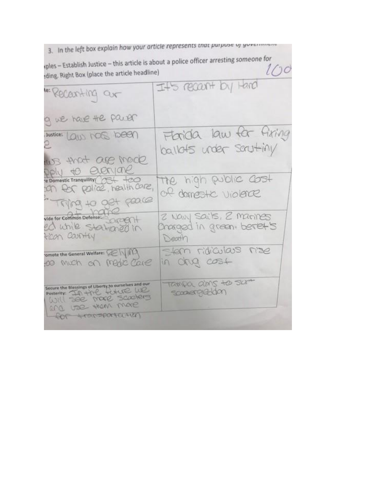## 3. In the left box explain how your article represents that purpose of yovernment

ples – Establish Justice – this article is about a police officer arresting someone for<br>ding. Right Box (place the article headline) ding. Right Box (place the article headline)

| It's recent by Hard                                                                                |
|----------------------------------------------------------------------------------------------------|
|                                                                                                    |
| Florida law for fixing<br>ballots under serutiny                                                   |
| The high public cost<br>ion for police, realth care,<br>of damestic violence<br>Tring to get peace |
| Z NOWY SOL'IS, 2 Marines<br>Bharged in green, berretts<br>Death                                    |
| Stern ridiculeus nize<br>in only cost<br>so much an medic care                                     |
| TOMPOL OUN'S to SKA<br>scooker graden                                                              |
|                                                                                                    |